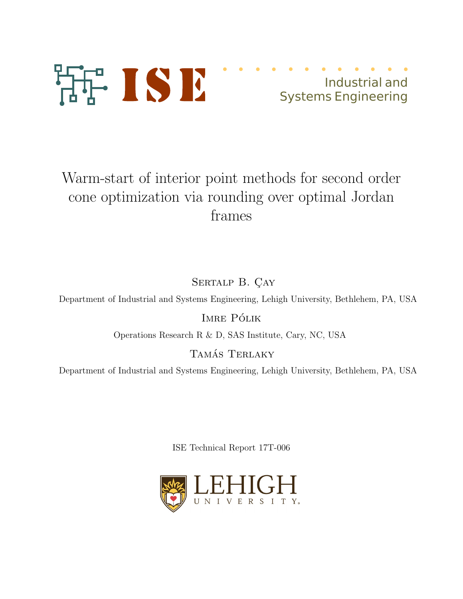

## Industrial and Systems Engineering

# Warm-start of interior point methods for second order cone optimization via rounding over optimal Jordan frames

SERTALP B. CAY

Department of Industrial and Systems Engineering, Lehigh University, Bethlehem, PA, USA

IMRE PÓLIK

Operations Research R & D, SAS Institute, Cary, NC, USA

TAMÁS TERLAKY

Department of Industrial and Systems Engineering, Lehigh University, Bethlehem, PA, USA

ISE Technical Report 17T-006

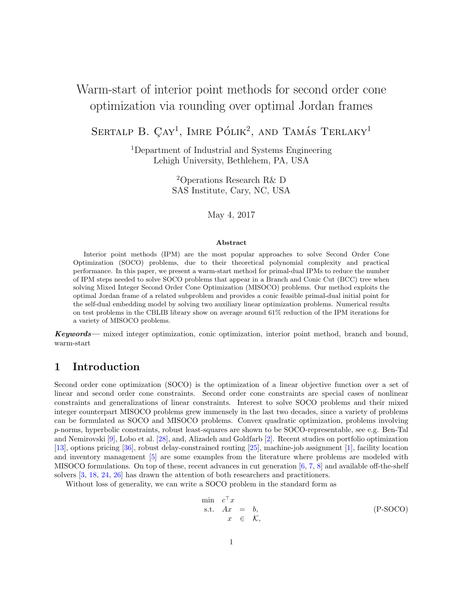## Warm-start of interior point methods for second order cone optimization via rounding over optimal Jordan frames

SERTALP B.  $\text{CAY}^1$ , IMRE PÓLIK<sup>2</sup>, AND TAMÁS TERLAKY<sup>1</sup>

<sup>1</sup>Department of Industrial and Systems Engineering Lehigh University, Bethlehem, PA, USA

> <sup>2</sup>Operations Research R& D SAS Institute, Cary, NC, USA

> > May 4, 2017

#### Abstract

Interior point methods (IPM) are the most popular approaches to solve Second Order Cone Optimization (SOCO) problems, due to their theoretical polynomial complexity and practical performance. In this paper, we present a warm-start method for primal-dual IPMs to reduce the number of IPM steps needed to solve SOCO problems that appear in a Branch and Conic Cut (BCC) tree when solving Mixed Integer Second Order Cone Optimization (MISOCO) problems. Our method exploits the optimal Jordan frame of a related subproblem and provides a conic feasible primal-dual initial point for the self-dual embedding model by solving two auxiliary linear optimization problems. Numerical results on test problems in the CBLIB library show on average around 61% reduction of the IPM iterations for a variety of MISOCO problems.

Keywords— mixed integer optimization, conic optimization, interior point method, branch and bound, warm-start

## 1 Introduction

Second order cone optimization (SOCO) is the optimization of a linear objective function over a set of linear and second order cone constraints. Second order cone constraints are special cases of nonlinear constraints and generalizations of linear constraints. Interest to solve SOCO problems and their mixed integer counterpart MISOCO problems grew immensely in the last two decades, since a variety of problems can be formulated as SOCO and MISOCO problems. Convex quadratic optimization, problems involving p-norms, hyperbolic constraints, robust least-squares are shown to be SOCO-representable, see e.g. Ben-Tal and Nemirovski [9], Lobo et al. [28], and, Alizadeh and Goldfarb [2]. Recent studies on portfolio optimization [13], options pricing [36], robust delay-constrained routing [25], machine-job assignment [1], facility location and inventory management [5] are some examples from the literature where problems are modeled with MISOCO formulations. On top of these, recent advances in cut generation [6, 7, 8] and available off-the-shelf solvers [3, 18, 24, 26] has drawn the attention of both researchers and practitioners.

Without loss of generality, we can write a SOCO problem in the standard form as

$$
\min \limits_{x} c^{\top} x \n\text{s.t.} \quad Ax = b, \n\quad \ \in \quad \mathcal{K},
$$
\n
$$
(P\text{-}SOCO)
$$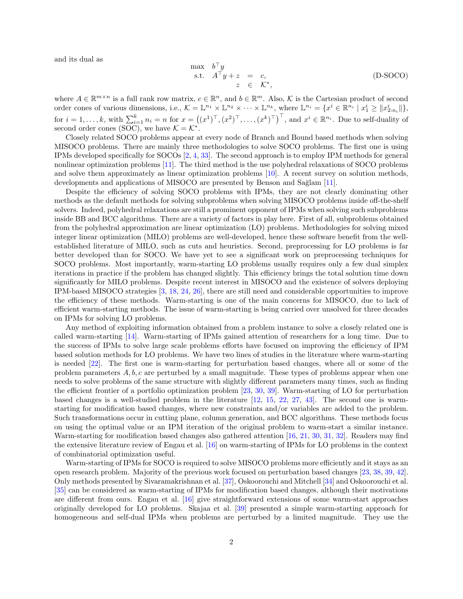and its dual as

$$
\begin{array}{rcl}\n\max & b^{\top}y \\
\text{s.t.} & A^{\top}y + z & = & c, \\
 & z & \in & \mathcal{K}^*,\n\end{array}
$$
\n(D-SOCO)

where  $A \in \mathbb{R}^{m \times n}$  is a full rank row matrix,  $c \in \mathbb{R}^n$ , and  $b \in \mathbb{R}^m$ . Also, K is the Cartesian product of second order cones of various dimensions, i.e.,  $\mathcal{K} = \mathbb{L}^{n_1} \times \mathbb{L}^{n_2} \times \cdots \times \mathbb{L}^{n_k}$ , where  $\mathbb{L}^{n_i} = \{x^i \in \mathbb{R}^{n_i} \mid x_1^i \geq \|x_{2:n_i}^i\|\},$ for  $i = 1, \ldots, k$ , with  $\sum_{i=1}^{k} n_i = n$  for  $x = ((x^1)^{\top}, (x^2)^{\top}, \ldots, (x^k)^{\top})^{\top}$ , and  $x^i \in \mathbb{R}^{n_i}$ . Due to self-duality of second order cones (SOC), we have  $K = \mathcal{K}^*$ .

Closely related SOCO problems appear at every node of Branch and Bound based methods when solving MISOCO problems. There are mainly three methodologies to solve SOCO problems. The first one is using IPMs developed specifically for SOCOs [2, 4, 33]. The second approach is to employ IPM methods for general nonlinear optimization problems [11]. The third method is the use polyhedral relaxations of SOCO problems and solve them approximately as linear optimization problems [10]. A recent survey on solution methods, developments and applications of MISOCO are presented by Benson and Sağlam [11].

Despite the efficiency of solving SOCO problems with IPMs, they are not clearly dominating other methods as the default methods for solving subproblems when solving MISOCO problems inside off-the-shelf solvers. Indeed, polyhedral relaxations are still a prominent opponent of IPMs when solving such subproblems inside BB and BCC algorithms. There are a variety of factors in play here. First of all, subproblems obtained from the polyhedral approximation are linear optimization (LO) problems. Methodologies for solving mixed integer linear optimization (MILO) problems are well-developed, hence these software benefit from the wellestablished literature of MILO, such as cuts and heuristics. Second, preprocessing for LO problems is far better developed than for SOCO. We have yet to see a significant work on preprocessing techniques for SOCO problems. Most importantly, warm-starting LO problems usually requires only a few dual simplex iterations in practice if the problem has changed slightly. This efficiency brings the total solution time down significantly for MILO problems. Despite recent interest in MISOCO and the existence of solvers deploying IPM-based MISOCO strategies [3, 18, 24, 26], there are still need and considerable opportunities to improve the efficiency of these methods. Warm-starting is one of the main concerns for MISOCO, due to lack of efficient warm-starting methods. The issue of warm-starting is being carried over unsolved for three decades on IPMs for solving LO problems.

Any method of exploiting information obtained from a problem instance to solve a closely related one is called warm-starting [14]. Warm-starting of IPMs gained attention of researchers for a long time. Due to the success of IPMs to solve large scale problems efforts have focused on improving the efficiency of IPM based solution methods for LO problems. We have two lines of studies in the literature where warm-starting is needed [22]. The first one is warm-starting for perturbation based changes, where all or some of the problem parameters  $A, b, c$  are perturbed by a small magnitude. These types of problems appear when one needs to solve problems of the same structure with slightly different parameters many times, such as finding the efficient frontier of a portfolio optimization problem [23, 30, 39]. Warm-starting of LO for perturbation based changes is a well-studied problem in the literature [12, 15, 22, 27, 43]. The second one is warmstarting for modification based changes, where new constraints and/or variables are added to the problem. Such transformations occur in cutting plane, column generation, and BCC algorithms. These methods focus on using the optimal value or an IPM iteration of the original problem to warm-start a similar instance. Warm-starting for modification based changes also gathered attention [16, 21, 30, 31, 32]. Readers may find the extensive literature review of Engau et al. [16] on warm-starting of IPMs for LO problems in the context of combinatorial optimization useful.

Warm-starting of IPMs for SOCO is required to solve MISOCO problems more efficiently and it stays as an open research problem. Majority of the previous work focused on perturbation based changes [23, 38, 39, 42]. Only methods presented by Sivaramakrishnan et al. [37], Oskoorouchi and Mitchell [34] and Oskoorouchi et al. [35] can be considered as warm-starting of IPMs for modification based changes, although their motivations are different from ours. Engau et al. [16] give straightforward extensions of some warm-start approaches originally developed for LO problems. Skajaa et al. [39] presented a simple warm-starting approach for homogeneous and self-dual IPMs when problems are perturbed by a limited magnitude. They use the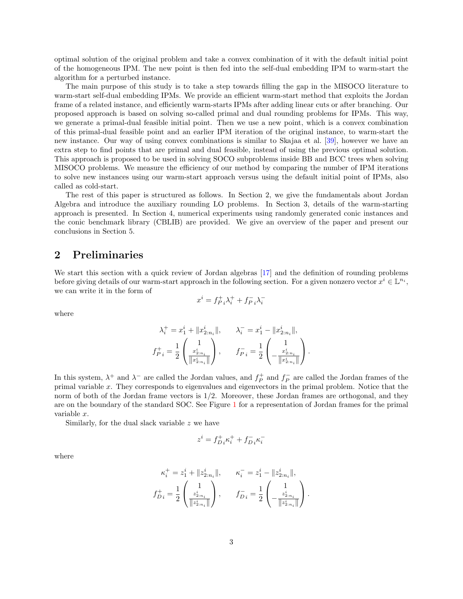optimal solution of the original problem and take a convex combination of it with the default initial point of the homogeneous IPM. The new point is then fed into the self-dual embedding IPM to warm-start the algorithm for a perturbed instance.

The main purpose of this study is to take a step towards filling the gap in the MISOCO literature to warm-start self-dual embedding IPMs. We provide an efficient warm-start method that exploits the Jordan frame of a related instance, and efficiently warm-starts IPMs after adding linear cuts or after branching. Our proposed approach is based on solving so-called primal and dual rounding problems for IPMs. This way, we generate a primal-dual feasible initial point. Then we use a new point, which is a convex combination of this primal-dual feasible point and an earlier IPM iteration of the original instance, to warm-start the new instance. Our way of using convex combinations is similar to Skajaa et al. [39], however we have an extra step to find points that are primal and dual feasible, instead of using the previous optimal solution. This approach is proposed to be used in solving SOCO subproblems inside BB and BCC trees when solving MISOCO problems. We measure the efficiency of our method by comparing the number of IPM iterations to solve new instances using our warm-start approach versus using the default initial point of IPMs, also called as cold-start.

The rest of this paper is structured as follows. In Section 2, we give the fundamentals about Jordan Algebra and introduce the auxiliary rounding LO problems. In Section 3, details of the warm-starting approach is presented. In Section 4, numerical experiments using randomly generated conic instances and the conic benchmark library (CBLIB) are provided. We give an overview of the paper and present our conclusions in Section 5.

## 2 Preliminaries

We start this section with a quick review of Jordan algebras [17] and the definition of rounding problems before giving details of our warm-start approach in the following section. For a given nonzero vector  $x^i \in \mathbb{L}^{n_i}$ , we can write it in the form of

$$
x^i = f_{P\;i}^+ \lambda_i^+ + f_{P\;i}^- \lambda_i^-
$$

where

$$
\begin{aligned} \lambda_i^+ &= x_1^i + \|x_{2:n_i}^i\|, & \lambda_i^- &= x_1^i - \|x_{2:n_i}^i\|, \\ f_{P\,i}^+ &= \frac{1}{2}\begin{pmatrix} 1 \\ \frac{x_{2:n_i}^i}{\|x_{2:n_i}^i\|} \end{pmatrix}, & f_{P\,i}^- &= \frac{1}{2}\begin{pmatrix} 1 \\ -\frac{x_{2:n_i}^i}{\|x_{2:n_i}^i\|} \end{pmatrix}. \end{aligned}
$$

In this system,  $\lambda^+$  and  $\lambda^-$  are called the Jordan values, and  $f_P^+$  and  $f_P^-$  are called the Jordan frames of the primal variable x. They corresponds to eigenvalues and eigenvectors in the primal problem. Notice that the norm of both of the Jordan frame vectors is  $1/2$ . Moreover, these Jordan frames are orthogonal, and they are on the boundary of the standard SOC. See Figure 1 for a representation of Jordan frames for the primal variable x.

Similarly, for the dual slack variable  $z$  we have

$$
z^i=f^+_{D\,i}\kappa^+_i+f^-_{D\,i}\kappa^-_i
$$

where

$$
\begin{aligned} \kappa_i^+ &= z_1^i + \|z_{2:n_i}^i\|, & \kappa_i^- &= z_1^i - \|z_{2:n_i}^i\|, \\ f_{Di}^+ &= \frac{1}{2}\begin{pmatrix} 1 \\ z_{2:n_i}^i \\ \overline{\|z_{2:n_i}^i\|} \end{pmatrix}, & f_{Di}^- &= \frac{1}{2}\begin{pmatrix} 1 \\ -\frac{z_{2:n_i}^i}{\|z_{2:n_i}^i\|} \end{pmatrix}. \end{aligned}
$$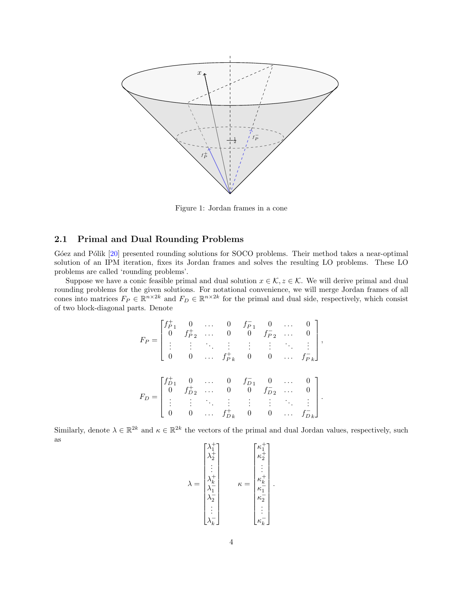

Figure 1: Jordan frames in a cone

#### 2.1 Primal and Dual Rounding Problems

G'oez and P'olik [20] presented rounding solutions for SOCO problems. Their method takes a near-optimal solution of an IPM iteration, fixes its Jordan frames and solves the resulting LO problems. These LO problems are called 'rounding problems'.

Suppose we have a conic feasible primal and dual solution  $x \in \mathcal{K}$ ,  $z \in \mathcal{K}$ . We will derive primal and dual rounding problems for the given solutions. For notational convenience, we will merge Jordan frames of all cones into matrices  $F_P \in \mathbb{R}^{n \times 2k}$  and  $F_D \in \mathbb{R}^{n \times 2k}$  for the primal and dual side, respectively, which consist of two block-diagonal parts. Denote

$$
F_P = \begin{bmatrix} f_{P1}^+ & 0 & \cdots & 0 & f_{P1}^- & 0 & \cdots & 0 \\ 0 & f_{P2}^+ & \cdots & 0 & 0 & f_{P2}^- & \cdots & 0 \\ \vdots & \vdots & \ddots & \vdots & \vdots & \vdots & \ddots & \vdots \\ 0 & 0 & \cdots & f_{Pk}^+ & 0 & 0 & \cdots & f_{Pk}^- \end{bmatrix},
$$

$$
F_D = \begin{bmatrix} f_{D1}^+ & 0 & \cdots & 0 & f_{D1}^- & 0 & \cdots & 0 \\ 0 & f_{D2}^+ & \cdots & 0 & 0 & f_{D2}^- & \cdots & 0 \\ \vdots & \vdots & \ddots & \vdots & \vdots & \vdots & \ddots & \vdots \\ 0 & 0 & \cdots & f_{Dk}^+ & 0 & 0 & \cdots & f_{Dk}^- \end{bmatrix}.
$$

Similarly, denote  $\lambda \in \mathbb{R}^{2k}$  and  $\kappa \in \mathbb{R}^{2k}$  the vectors of the primal and dual Jordan values, respectively, such as  $\mathbf{r}$ 

$$
\lambda = \begin{bmatrix} \lambda_1^+ \\ \lambda_2^+ \\ \vdots \\ \lambda_k^- \\ \lambda_1^- \\ \lambda_2^- \\ \vdots \\ \lambda_k^- \end{bmatrix} \qquad \kappa = \begin{bmatrix} \kappa_1^+ \\ \kappa_2^+ \\ \vdots \\ \kappa_k^+ \\ \kappa_2^- \\ \vdots \\ \kappa_k^- \end{bmatrix}.
$$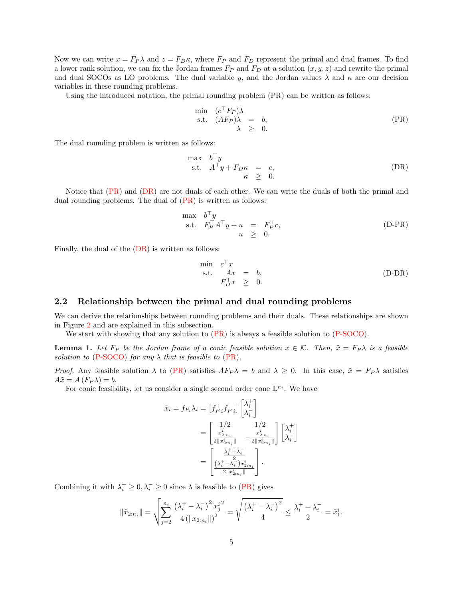Now we can write  $x = F_P \lambda$  and  $z = F_D \kappa$ , where  $F_P$  and  $F_D$  represent the primal and dual frames. To find a lower rank solution, we can fix the Jordan frames  $F_P$  and  $F_D$  at a solution  $(x, y, z)$  and rewrite the primal and dual SOCOs as LO problems. The dual variable y, and the Jordan values  $\lambda$  and  $\kappa$  are our decision variables in these rounding problems.

Using the introduced notation, the primal rounding problem (PR) can be written as follows:

$$
\min_{\lambda} \quad (c^{\top} F_P) \lambda \n\text{s.t.} \quad (AF_P) \lambda = b, \n\lambda \geq 0.
$$
\n(PR)

The dual rounding problem is written as follows:

$$
\begin{array}{rcl}\n\max & b^{\top}y \\
\text{s.t.} & A^{\top}y + F_{D}\kappa & = & c, \\
& \kappa & \geq & 0.\n\end{array}
$$
\n(DR)

Notice that (PR) and (DR) are not duals of each other. We can write the duals of both the primal and dual rounding problems. The dual of  $(PR)$  is written as follows:

$$
\begin{array}{rcl}\n\max & b^{\top}y \\
\text{s.t.} & F_P^{\top}A^{\top}y + u & = & F_P^{\top}c, \\
u & \geq & 0.\n\end{array} \tag{D-PR}
$$

Finally, the dual of the (DR) is written as follows:

$$
\begin{array}{rcl}\n\min & c \,^{\dagger} x \\
\text{s.t.} & Ax & = & b, \\
F_D^{\top} x & \geq & 0.\n\end{array} \tag{D-DR}
$$

#### 2.2 Relationship between the primal and dual rounding problems

We can derive the relationships between rounding problems and their duals. These relationships are shown in Figure 2 and are explained in this subsection.

We start with showing that any solution to  $(PR)$  is always a feasible solution to  $(P\text{-}SOCO)$ .

**Lemma 1.** Let  $F_P$  be the Jordan frame of a conic feasible solution  $x \in \mathcal{K}$ . Then,  $\tilde{x} = F_P \lambda$  is a feasible solution to (P-SOCO) for any  $\lambda$  that is feasible to (PR).

*Proof.* Any feasible solution  $\lambda$  to (PR) satisfies  $AF_P\lambda = b$  and  $\lambda \geq 0$ . In this case,  $\tilde{x} = F_P\lambda$  satisfies  $A\tilde{x} = A(F_P\lambda) = b.$ 

For conic feasibility, let us consider a single second order cone  $\mathbb{L}^{n_i}$ . We have

$$
\tilde{x}_i = f_{P_i} \lambda_i = \begin{bmatrix} f_{P_i}^+ f_{P_i}^- \end{bmatrix} \begin{bmatrix} \lambda_i^+ \\ \lambda_i^- \end{bmatrix}
$$

$$
= \begin{bmatrix} 1/2 & 1/2 \\ \frac{x_{2:n_i}^i}{2\|x_{2:n_i}^i\|} & -\frac{x_{2:n_i}^i}{2\|x_{2:n_i}^i\|} \end{bmatrix} \begin{bmatrix} \lambda_i^+ \\ \lambda_i^- \end{bmatrix}
$$

$$
= \begin{bmatrix} \frac{\lambda_i^+ + \lambda_i^-}{2\|x_{2:n_i}^i\|} \\ \frac{(\lambda_i^+ - \lambda_i^-) x_{2:n_i}^i}{2\|x_{2:n_i}^i\|} \end{bmatrix}.
$$

Combining it with  $\lambda_i^+ \geq 0, \lambda_i^- \geq 0$  since  $\lambda$  is feasible to (PR) gives

$$
\|\tilde{x}_{2:n_i}\| = \sqrt{\sum_{j=2}^{n_i} \frac{\left(\lambda_i^+ - \lambda_i^-\right)^2 x_j^{i^2}}{4 \left(\|x_{2:n_i}\|\right)^2}} = \sqrt{\frac{\left(\lambda_i^+ - \lambda_i^-\right)^2}{4}} \le \frac{\lambda_i^+ + \lambda_i^-}{2} = \tilde{x}_1^i.
$$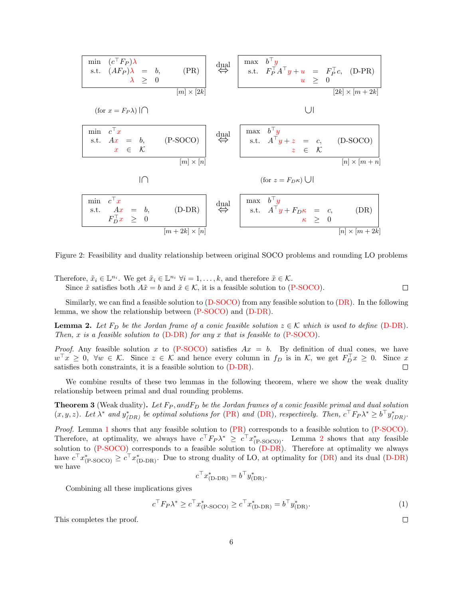$$
\begin{array}{|c|c|c|c|c|}\n\hline\n\text{min} & (c^{\top}F_{P})\lambda \\
\text{s.t.} & (AF_{P})\lambda & = & b, \\
\hline\n\lambda & \geq 0 & & \\
\hline\n\text{min} & x \geq 0 & & \\
\hline\n\text{min} & x \geq 0 & & \\
\hline\n\text{min} & c^{\top}x & & \\
\text{s.t.} & Ax & = & b, \\
\hline\n\text{min} & c^{\top}x & & \\
\hline\n\text{min} & x \in K & & \\
\hline\n\text{min} & x \in K & & \\
\hline\n\text{min} & x \in K & & \\
\hline\n\text{min} & x \in K & & \\
\hline\n\text{min} & x \in K & & \\
\hline\n\text{min} & x \in K & & \\
\hline\n\text{min} & x \in K & & \\
\hline\n\text{min} & x \in K & & \\
\hline\n\text{min} & x \in K & & \\
\hline\n\text{min} & x \in K & & \\
\hline\n\text{min} & x \in K & & \\
\hline\n\text{min} & x \in K & & \\
\hline\n\text{min} & x \in K & & \\
\hline\n\text{min} & x \in K & & \\
\hline\n\text{min} & x \in K & & \\
\hline\n\text{min} & x \in K & & \\
\hline\n\text{min} & x \in K & & \\
\hline\n\text{min} & x \in K & & \\
\hline\n\text{min} & x \in K & & \\
\hline\n\text{min} & x \in K & & \\
\hline\n\text{min} & x \in K & & \\
\hline\n\text{min} & x \in K & & \\
\hline\n\text{min} & x \in K & & \\
\hline\n\text{min} & x \in K & &
$$

Figure 2: Feasibility and duality relationship between original SOCO problems and rounding LO problems

Therefore,  $\tilde{x}_i \in \mathbb{L}^{n_i}$ . We get  $\tilde{x}_i \in \mathbb{L}^{n_i}$   $\forall i = 1, ..., k$ , and therefore  $\tilde{x} \in \mathcal{K}$ . Since  $\tilde{x}$  satisfies both  $A\tilde{x} = b$  and  $\tilde{x} \in \mathcal{K}$ , it is a feasible solution to (P-SOCO).

Similarly, we can find a feasible solution to  $(D-SOCO)$  from any feasible solution to  $(DR)$ . In the following lemma, we show the relationship between (P-SOCO) and (D-DR).

**Lemma 2.** Let  $F_D$  be the Jordan frame of a conic feasible solution  $z \in \mathcal{K}$  which is used to define (D-DR). Then, x is a feasible solution to  $(D-DR)$  for any x that is feasible to  $(P-SOCO)$ .

*Proof.* Any feasible solution x to (P-SOCO) satisfies  $Ax = b$ . By definition of dual cones, we have  $w^{\perp}x \geq 0$ ,  $\forall w \in \mathcal{K}$ . Since  $z \in \mathcal{K}$  and hence every column in  $f_D$  is in  $\mathcal{K}$ , we get  $F_D^{\perp}x \geq 0$ . Since x satisfies both constraints, it is a feasible solution to (D-DR).

We combine results of these two lemmas in the following theorem, where we show the weak duality relationship between primal and dual rounding problems.

**Theorem 3** (Weak duality). Let  $F_P$ , and  $F_D$  be the Jordan frames of a conic feasible primal and dual solution  $(x, y, z)$ . Let  $\lambda^*$  and  $y^*_{(DR)}$  be optimal solutions for (PR) and (DR), respectively. Then,  $c^+F_P\lambda^* \geq b^+y^*_{(DR)}$ .

Proof. Lemma 1 shows that any feasible solution to  $(PR)$  corresponds to a feasible solution to  $(P-SOCO)$ . Therefore, at optimality, we always have  $c^T F_P \lambda^* \geq c^T x^*_{(P\text{-}SOCO)}$ . Lemma 2 shows that any feasible solution to (P-SOCO) corresponds to a feasible solution to (D-DR). Therefore at optimality we always have  $c^{\perp}x^*_{(\text{P-SOCO})} \geq c^{\perp}x^*_{(\text{D-DR})}$ . Due to strong duality of LO, at optimality for  $(\text{DR})$  and its dual  $(\text{D-DR})$ we have

$$
c^{\top} x_{(D\text{-}DR)}^* = b^{\top} y_{(DR)}^*.
$$

Combining all these implications gives

$$
c^{\top} F_P \lambda^* \ge c^{\top} x^*_{(P\text{-}SOCO)} \ge c^{\top} x^*_{(D\text{-}DR)} = b^{\top} y^*_{(DR)}.
$$
 (1)

 $\Box$ 

 $\Box$ 

This completes the proof.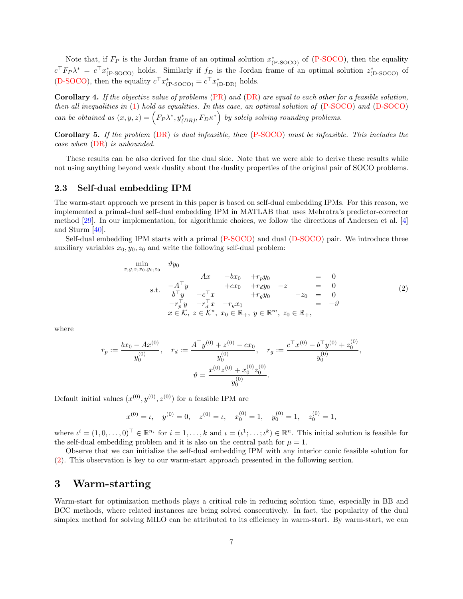Note that, if  $F_P$  is the Jordan frame of an optimal solution  $x^*_{(P\text{-}SOCO)}$  of (P-SOCO), then the equality  $c^+F_P\lambda^* = c^+x^*_{(P\text{-}SOCO)}$  holds. Similarly if  $f_D$  is the Jordan frame of an optimal solution  $z^*_{(D\text{-}SOCO)}$  of (D-SOCO), then the equality  $c^{\dagger} x^*_{(P\text{-}SOCO)} = c^{\dagger} x^*_{(D\text{-}DR)}$  holds.

Corollary 4. If the objective value of problems (PR) and (DR) are equal to each other for a feasible solution, then all inequalities in  $(1)$  hold as equalities. In this case, an optimal solution of  $(P\text{-}SOCO)$  and  $(D\text{-}SOCO)$ can be obtained as  $(x, y, z) = (F_P \lambda^*, y^*_{(DR)}, F_D \kappa^*)$  by solely solving rounding problems.

Corollary 5. If the problem (DR) is dual infeasible, then (P-SOCO) must be infeasible. This includes the case when (DR) is unbounded.

These results can be also derived for the dual side. Note that we were able to derive these results while not using anything beyond weak duality about the duality properties of the original pair of SOCO problems.

#### 2.3 Self-dual embedding IPM

The warm-start approach we present in this paper is based on self-dual embedding IPMs. For this reason, we implemented a primal-dual self-dual embedding IPM in MATLAB that uses Mehrotra's predictor-corrector method [29]. In our implementation, for algorithmic choices, we follow the directions of Andersen et al. [4] and Sturm [40].

Self-dual embedding IPM starts with a primal (P-SOCO) and dual (D-SOCO) pair. We introduce three auxiliary variables  $x_0, y_0, z_0$  and write the following self-dual problem:

$$
\begin{array}{rcl}\n\min_{x,y,z,x_0,y_0,z_0} & \vartheta y_0 & & & \\
& Ax & -bx_0 & +r_p y_0 & & & \\
& Ax & -bx_0 & +r_d y_0 & -z & & \\
& & 6\mathbf{I}^T y & -c\mathbf{I}^T x & +r_d y_0 & -z & & \\
& & 6\mathbf{I}^T y & -c\mathbf{I}^T x & -r_g x_0 & & \\
& & & -r_p^T y & -r_d^T x & -r_g x_0 & & \\
& & x \in \mathcal{K}, \ z \in \mathcal{K}^*, \ x_0 \in \mathbb{R}_+, \ y \in \mathbb{R}^m, \ z_0 \in \mathbb{R}_+, \n\end{array} \tag{2}
$$

where

$$
r_p := \frac{bx_0 - Ax^{(0)}}{y_0^{(0)}}, \quad r_d := \frac{A^{\top}y^{(0)} + z^{(0)} - cx_0}{y_0^{(0)}}, \quad r_g := \frac{c^{\top}x^{(0)} - b^{\top}y^{(0)} + z_0^{(0)}}{y_0^{(0)}},
$$

$$
\vartheta = \frac{x^{(0)}z^{(0)} + x_0^{(0)}z_0^{(0)}}{y_0^{(0)}}.
$$

Default initial values  $(x^{(0)}, y^{(0)}, z^{(0)})$  for a feasible IPM are

$$
x^{(0)} = \iota
$$
,  $y^{(0)} = 0$ ,  $z^{(0)} = \iota$ ,  $x_0^{(0)} = 1$ ,  $y_0^{(0)} = 1$ ,  $z_0^{(0)} = 1$ ,

where  $\iota^i = (1, 0, \ldots, 0)^\top \in \mathbb{R}^{n_i}$  for  $i = 1, \ldots, k$  and  $\iota = (\iota^1; \ldots; \iota^k) \in \mathbb{R}^n$ . This initial solution is feasible for the self-dual embedding problem and it is also on the central path for  $\mu = 1$ .

Observe that we can initialize the self-dual embedding IPM with any interior conic feasible solution for (2). This observation is key to our warm-start approach presented in the following section.

### 3 Warm-starting

Warm-start for optimization methods plays a critical role in reducing solution time, especially in BB and BCC methods, where related instances are being solved consecutively. In fact, the popularity of the dual simplex method for solving MILO can be attributed to its efficiency in warm-start. By warm-start, we can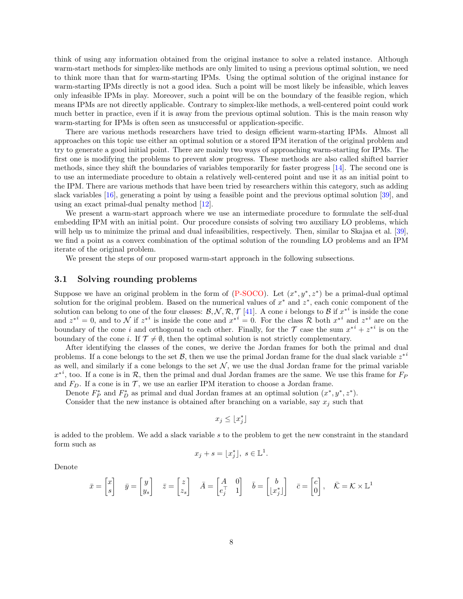think of using any information obtained from the original instance to solve a related instance. Although warm-start methods for simplex-like methods are only limited to using a previous optimal solution, we need to think more than that for warm-starting IPMs. Using the optimal solution of the original instance for warm-starting IPMs directly is not a good idea. Such a point will be most likely be infeasible, which leaves only infeasible IPMs in play. Moreover, such a point will be on the boundary of the feasible region, which means IPMs are not directly applicable. Contrary to simplex-like methods, a well-centered point could work much better in practice, even if it is away from the previous optimal solution. This is the main reason why warm-starting for IPMs is often seen as unsuccessful or application-specific.

There are various methods researchers have tried to design efficient warm-starting IPMs. Almost all approaches on this topic use either an optimal solution or a stored IPM iteration of the original problem and try to generate a good initial point. There are mainly two ways of approaching warm-starting for IPMs. The first one is modifying the problems to prevent slow progress. These methods are also called shifted barrier methods, since they shift the boundaries of variables temporarily for faster progress [14]. The second one is to use an intermediate procedure to obtain a relatively well-centered point and use it as an initial point to the IPM. There are various methods that have been tried by researchers within this category, such as adding slack variables [16], generating a point by using a feasible point and the previous optimal solution [39], and using an exact primal-dual penalty method [12].

We present a warm-start approach where we use an intermediate procedure to formulate the self-dual embedding IPM with an initial point. Our procedure consists of solving two auxiliary LO problems, which will help us to minimize the primal and dual infeasibilities, respectively. Then, similar to Skajaa et al. [39], we find a point as a convex combination of the optimal solution of the rounding LO problems and an IPM iterate of the original problem.

We present the steps of our proposed warm-start approach in the following subsections.

#### 3.1 Solving rounding problems

Suppose we have an original problem in the form of  $(P\text{-}SOCO)$ . Let  $(x^*, y^*, z^*)$  be a primal-dual optimal solution for the original problem. Based on the numerical values of  $x^*$  and  $z^*$ , each conic component of the solution can belong to one of the four classes:  $\mathcal{B}, \mathcal{N}, \mathcal{R}, \mathcal{T}$  [41]. A cone *i* belongs to  $\mathcal{B}$  if  $x^{*i}$  is inside the cone and  $z^{*i} = 0$ , and to N if  $z^{*i}$  is inside the cone and  $x^{*i} = 0$ . For the class R both  $x^{*i}$  and  $z^{*i}$  are on the boundary of the cone i and orthogonal to each other. Finally, for the  $\mathcal T$  case the sum  $x^{*i} + z^{*i}$  is on the boundary of the cone i. If  $\mathcal{T} \neq \emptyset$ , then the optimal solution is not strictly complementary.

After identifying the classes of the cones, we derive the Jordan frames for both the primal and dual problems. If a cone belongs to the set  $\mathcal{B}$ , then we use the primal Jordan frame for the dual slack variable  $z^{*i}$ as well, and similarly if a cone belongs to the set  $\mathcal N$ , we use the dual Jordan frame for the primal variable  $x^{*i}$ , too. If a cone is in R, then the primal and dual Jordan frames are the same. We use this frame for  $F_P$ and  $F_D$ . If a cone is in  $\mathcal{T}$ , we use an earlier IPM iteration to choose a Jordan frame.

Denote  $F_P^*$  and  $F_D^*$  as primal and dual Jordan frames at an optimal solution  $(x^*, y^*, z^*)$ .

Consider that the new instance is obtained after branching on a variable, say  $x_j$  such that

$$
x_j \leq \lfloor x^*_j \rfloor
$$

is added to the problem. We add a slack variable s to the problem to get the new constraint in the standard form such as

$$
x_j + s = \lfloor x_j^* \rfloor, \ s \in \mathbb{L}^1.
$$

Denote

$$
\bar{x} = \begin{bmatrix} x \\ s \end{bmatrix} \quad \bar{y} = \begin{bmatrix} y \\ y_s \end{bmatrix} \quad \bar{z} = \begin{bmatrix} z \\ z_s \end{bmatrix} \quad \bar{A} = \begin{bmatrix} A & 0 \\ e_j^\top & 1 \end{bmatrix} \quad \bar{b} = \begin{bmatrix} b \\ \lfloor x_j^* \rfloor \end{bmatrix} \quad \bar{c} = \begin{bmatrix} c \\ 0 \end{bmatrix}, \quad \bar{K} = \mathcal{K} \times \mathbb{L}^1
$$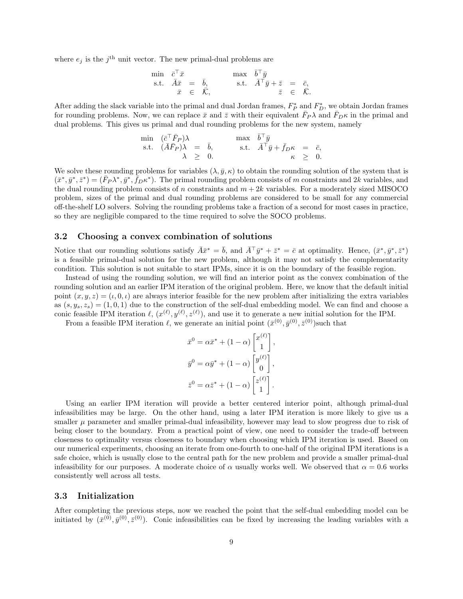where  $e_j$  is the  $j^{\text{th}}$  unit vector. The new primal-dual problems are

$$
\begin{array}{rcl}\n\min & \bar{c}^\top \bar{x} \\
\text{s.t.} & \bar{A}\bar{x} = \bar{b}, \\
\bar{x} \in \bar{K},\n\end{array}\n\quad\n\begin{array}{rcl}\n\max & \bar{b}^\top \bar{y} \\
\text{s.t.} & \bar{A}^\top \bar{y} + \bar{z} = \bar{c}, \\
\bar{z} \in \bar{K}.\n\end{array}
$$

After adding the slack variable into the primal and dual Jordan frames,  $F_P^*$  and  $F_D^*$ , we obtain Jordan frames for rounding problems. Now, we can replace  $\bar{x}$  and  $\bar{z}$  with their equivalent  $\bar{F}_P \lambda$  and  $\bar{F}_D \kappa$  in the primal and dual problems. This gives us primal and dual rounding problems for the new system, namely

$$
\begin{array}{llll}\n\min & (\bar{c}^{\top}\bar{F}_P)\lambda & \max & \bar{b}^{\top}\bar{y} \\
\text{s.t.} & (\bar{A}\bar{F}_P)\lambda & = & \bar{b}, & \text{s.t.} & \bar{A}^{\top}\bar{y} + \bar{f}_{D}\kappa & = & \bar{c}, \\
& \lambda & \geq & 0. & \kappa & \geq & 0.\n\end{array}
$$

We solve these rounding problems for variables  $(\lambda, \bar{y}, \kappa)$  to obtain the rounding solution of the system that is  $(\bar{x}^*, \bar{y}^*, \bar{z}^*) = (\bar{F}_P \lambda^*, \bar{y}^*, \bar{f}_D \kappa^*)$ . The primal rounding problem consists of m constraints and 2k variables, and the dual rounding problem consists of n constraints and  $m + 2k$  variables. For a moderately sized MISOCO problem, sizes of the primal and dual rounding problems are considered to be small for any commercial off-the-shelf LO solvers. Solving the rounding problems take a fraction of a second for most cases in practice, so they are negligible compared to the time required to solve the SOCO problems.

#### 3.2 Choosing a convex combination of solutions

Notice that our rounding solutions satisfy  $\bar{A}\bar{x}^* = \bar{b}$ , and  $\bar{A}^\top \bar{y}^* + \bar{z}^* = \bar{c}$  at optimality. Hence,  $(\bar{x}^*, \bar{y}^*, \bar{z}^*)$ is a feasible primal-dual solution for the new problem, although it may not satisfy the complementarity condition. This solution is not suitable to start IPMs, since it is on the boundary of the feasible region.

Instead of using the rounding solution, we will find an interior point as the convex combination of the rounding solution and an earlier IPM iteration of the original problem. Here, we know that the default initial point  $(x, y, z) = (\iota, 0, \iota)$  are always interior feasible for the new problem after initializing the extra variables as  $(s, y_s, z_s) = (1, 0, 1)$  due to the construction of the self-dual embedding model. We can find and choose a conic feasible IPM iteration  $\ell, (x^{(\ell)}, y^{(\ell)}, z^{(\ell)})$ , and use it to generate a new initial solution for the IPM.

From a feasible IPM iteration  $\ell$ , we generate an initial point  $(\bar{x}^{(0)}, \bar{y}^{(0)}, \bar{z}^{(0)})$ such that

$$
\bar{x}^0 = \alpha \bar{x}^* + (1 - \alpha) \begin{bmatrix} x^{(\ell)} \\ 1 \end{bmatrix},
$$

$$
\bar{y}^0 = \alpha \bar{y}^* + (1 - \alpha) \begin{bmatrix} y^{(\ell)} \\ 0 \end{bmatrix},
$$

$$
\bar{z}^0 = \alpha \bar{z}^* + (1 - \alpha) \begin{bmatrix} z^{(\ell)} \\ 1 \end{bmatrix}.
$$

Using an earlier IPM iteration will provide a better centered interior point, although primal-dual infeasibilities may be large. On the other hand, using a later IPM iteration is more likely to give us a smaller  $\mu$  parameter and smaller primal-dual infeasibility, however may lead to slow progress due to risk of being closer to the boundary. From a practical point of view, one need to consider the trade-off between closeness to optimality versus closeness to boundary when choosing which IPM iteration is used. Based on our numerical experiments, choosing an iterate from one-fourth to one-half of the original IPM iterations is a safe choice, which is usually close to the central path for the new problem and provide a smaller primal-dual infeasibility for our purposes. A moderate choice of  $\alpha$  usually works well. We observed that  $\alpha = 0.6$  works consistently well across all tests.

#### 3.3 Initialization

After completing the previous steps, now we reached the point that the self-dual embedding model can be initiated by  $(\bar{x}^{(0)}, \bar{y}^{(0)}, \bar{z}^{(0)})$ . Conic infeasibilities can be fixed by increasing the leading variables with a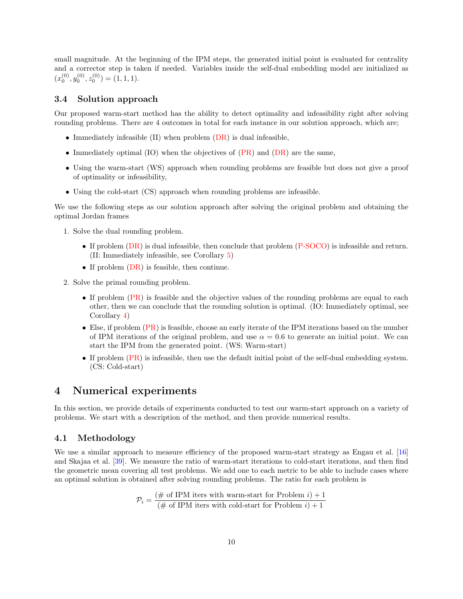small magnitude. At the beginning of the IPM steps, the generated initial point is evaluated for centrality and a corrector step is taken if needed. Variables inside the self-dual embedding model are initialized as  $(x_0^{(0)}, y_0^{(0)}, z_0^{(0)}) = (1, 1, 1).$ 

#### 3.4 Solution approach

Our proposed warm-start method has the ability to detect optimality and infeasibility right after solving rounding problems. There are 4 outcomes in total for each instance in our solution approach, which are;

- Immediately infeasible  $(II)$  when problem  $(DR)$  is dual infeasible,
- Immediately optimal (IO) when the objectives of (PR) and (DR) are the same,
- Using the warm-start (WS) approach when rounding problems are feasible but does not give a proof of optimality or infeasibility,
- Using the cold-start (CS) approach when rounding problems are infeasible.

We use the following steps as our solution approach after solving the original problem and obtaining the optimal Jordan frames

- 1. Solve the dual rounding problem.
	- If problem (DR) is dual infeasible, then conclude that problem (P-SOCO) is infeasible and return. (II: Immediately infeasible, see Corollary 5)
	- If problem  $(DR)$  is feasible, then continue.
- 2. Solve the primal rounding problem.
	- If problem (PR) is feasible and the objective values of the rounding problems are equal to each other, then we can conclude that the rounding solution is optimal. (IO: Immediately optimal, see Corollary 4)
	- Else, if problem (PR) is feasible, choose an early iterate of the IPM iterations based on the number of IPM iterations of the original problem, and use  $\alpha = 0.6$  to generate an initial point. We can start the IPM from the generated point. (WS: Warm-start)
	- If problem (PR) is infeasible, then use the default initial point of the self-dual embedding system. (CS: Cold-start)

### 4 Numerical experiments

In this section, we provide details of experiments conducted to test our warm-start approach on a variety of problems. We start with a description of the method, and then provide numerical results.

#### 4.1 Methodology

We use a similar approach to measure efficiency of the proposed warm-start strategy as Engau et al. [16] and Skajaa et al. [39]. We measure the ratio of warm-start iterations to cold-start iterations, and then find the geometric mean covering all test problems. We add one to each metric to be able to include cases where an optimal solution is obtained after solving rounding problems. The ratio for each problem is

$$
\mathcal{P}_i = \frac{(\text{# of IPM items with warm-start for Problem } i) + 1}{(\text{# of IPM items with cold-start for Problem } i) + 1}
$$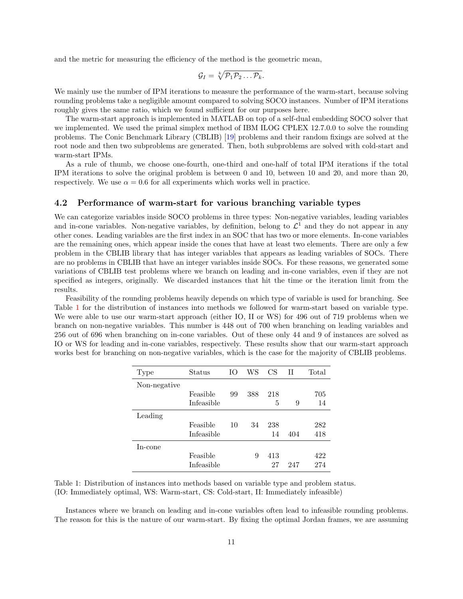and the metric for measuring the efficiency of the method is the geometric mean,

$$
\mathcal{G}_I = \sqrt[k]{\mathcal{P}_1 \mathcal{P}_2 \dots \mathcal{P}_k}.
$$

We mainly use the number of IPM iterations to measure the performance of the warm-start, because solving rounding problems take a negligible amount compared to solving SOCO instances. Number of IPM iterations roughly gives the same ratio, which we found sufficient for our purposes here.

The warm-start approach is implemented in MATLAB on top of a self-dual embedding SOCO solver that we implemented. We used the primal simplex method of IBM ILOG CPLEX 12.7.0.0 to solve the rounding problems. The Conic Benchmark Library (CBLIB) [19] problems and their random fixings are solved at the root node and then two subproblems are generated. Then, both subproblems are solved with cold-start and warm-start IPMs.

As a rule of thumb, we choose one-fourth, one-third and one-half of total IPM iterations if the total IPM iterations to solve the original problem is between 0 and 10, between 10 and 20, and more than 20, respectively. We use  $\alpha = 0.6$  for all experiments which works well in practice.

#### 4.2 Performance of warm-start for various branching variable types

We can categorize variables inside SOCO problems in three types: Non-negative variables, leading variables and in-cone variables. Non-negative variables, by definition, belong to  $\mathcal{L}^1$  and they do not appear in any other cones. Leading variables are the first index in an SOC that has two or more elements. In-cone variables are the remaining ones, which appear inside the cones that have at least two elements. There are only a few problem in the CBLIB library that has integer variables that appears as leading variables of SOCs. There are no problems in CBLIB that have an integer variables inside SOCs. For these reasons, we generated some variations of CBLIB test problems where we branch on leading and in-cone variables, even if they are not specified as integers, originally. We discarded instances that hit the time or the iteration limit from the results.

Feasibility of the rounding problems heavily depends on which type of variable is used for branching. See Table 1 for the distribution of instances into methods we followed for warm-start based on variable type. We were able to use our warm-start approach (either IO, II or WS) for 496 out of 719 problems when we branch on non-negative variables. This number is 448 out of 700 when branching on leading variables and 256 out of 696 when branching on in-cone variables. Out of these only 44 and 9 of instances are solved as IO or WS for leading and in-cone variables, respectively. These results show that our warm-start approach works best for branching on non-negative variables, which is the case for the majority of CBLIB problems.

| Type         | Status     | Ю  | WS  | CS  | Н   | Total |
|--------------|------------|----|-----|-----|-----|-------|
| Non-negative |            |    |     |     |     |       |
|              | Feasible   | 99 | 388 | 218 |     | 705   |
|              | Infeasible |    |     | 5   | 9   | 14    |
| Leading      |            |    |     |     |     |       |
|              | Feasible   | 10 | 34  | 238 |     | 282   |
|              | Infeasible |    |     | 14  | 404 | 418   |
| In-cone      |            |    |     |     |     |       |
|              | Feasible   |    | 9   | 413 |     | 422   |
|              | Infeasible |    |     | 27  | 247 | 274   |

| Table 1: Distribution of instances into methods based on variable type and problem status. |  |
|--------------------------------------------------------------------------------------------|--|
| (IO: Immediately optimal, WS: Warm-start, CS: Cold-start, II: Immediately infeasible)      |  |

Instances where we branch on leading and in-cone variables often lead to infeasible rounding problems. The reason for this is the nature of our warm-start. By fixing the optimal Jordan frames, we are assuming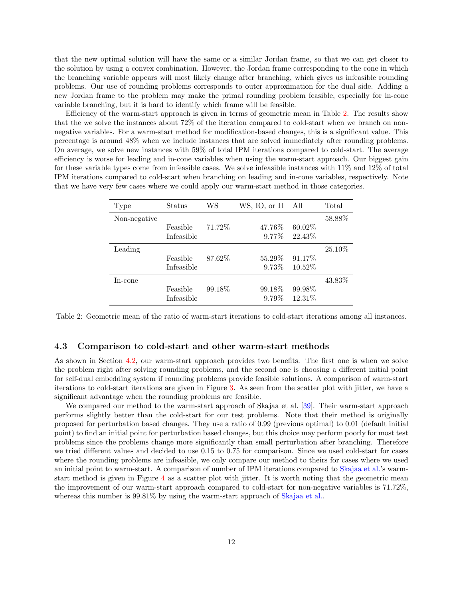that the new optimal solution will have the same or a similar Jordan frame, so that we can get closer to the solution by using a convex combination. However, the Jordan frame corresponding to the cone in which the branching variable appears will most likely change after branching, which gives us infeasible rounding problems. Our use of rounding problems corresponds to outer approximation for the dual side. Adding a new Jordan frame to the problem may make the primal rounding problem feasible, especially for in-cone variable branching, but it is hard to identify which frame will be feasible.

Efficiency of the warm-start approach is given in terms of geometric mean in Table 2. The results show that the we solve the instances about 72% of the iteration compared to cold-start when we branch on nonnegative variables. For a warm-start method for modification-based changes, this is a significant value. This percentage is around 48% when we include instances that are solved immediately after rounding problems. On average, we solve new instances with 59% of total IPM iterations compared to cold-start. The average efficiency is worse for leading and in-cone variables when using the warm-start approach. Our biggest gain for these variable types come from infeasible cases. We solve infeasible instances with 11% and 12% of total IPM iterations compared to cold-start when branching on leading and in-cone variables, respectively. Note that we have very few cases where we could apply our warm-start method in those categories.

| Type         | Status     | WS      | WS, IO, or II | All     | Total   |
|--------------|------------|---------|---------------|---------|---------|
| Non-negative |            |         |               |         | 58.88%  |
|              | Feasible   | 71.72%  | 47.76\%       | 60.02%  |         |
|              | Infeasible |         | $9.77\%$      | 22.43%  |         |
| Leading      |            |         |               |         | 25.10\% |
|              | Feasible   | 87.62%  | 55.29\%       | 91.17%  |         |
|              | Infeasible |         | $9.73\%$      | 10.52%  |         |
| In-cone      |            |         |               |         | 43.83%  |
|              | Feasible   | 99.18\% | 99.18\%       | 99.98%  |         |
|              | Infeasible |         | 9.79%         | 12.31\% |         |

Table 2: Geometric mean of the ratio of warm-start iterations to cold-start iterations among all instances.

#### 4.3 Comparison to cold-start and other warm-start methods

As shown in Section 4.2, our warm-start approach provides two benefits. The first one is when we solve the problem right after solving rounding problems, and the second one is choosing a different initial point for self-dual embedding system if rounding problems provide feasible solutions. A comparison of warm-start iterations to cold-start iterations are given in Figure 3. As seen from the scatter plot with jitter, we have a significant advantage when the rounding problems are feasible.

We compared our method to the warm-start approach of Skajaa et al. [39]. Their warm-start approach performs slightly better than the cold-start for our test problems. Note that their method is originally proposed for perturbation based changes. They use a ratio of 0.99 (previous optimal) to 0.01 (default initial point) to find an initial point for perturbation based changes, but this choice may perform poorly for most test problems since the problems change more significantly than small perturbation after branching. Therefore we tried different values and decided to use 0.15 to 0.75 for comparison. Since we used cold-start for cases where the rounding problems are infeasible, we only compare our method to theirs for cases where we used an initial point to warm-start. A comparison of number of IPM iterations compared to Skajaa et al.'s warmstart method is given in Figure 4 as a scatter plot with jitter. It is worth noting that the geometric mean the improvement of our warm-start approach compared to cold-start for non-negative variables is 71.72%, whereas this number is  $99.81\%$  by using the warm-start approach of Skajaa et al...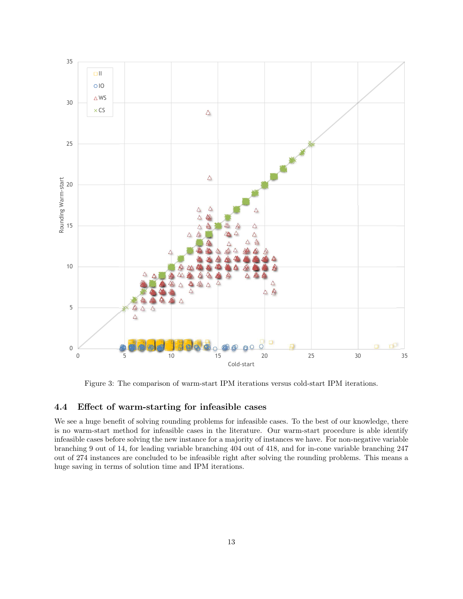

Figure 3: The comparison of warm-start IPM iterations versus cold-start IPM iterations.

#### 4.4 Effect of warm-starting for infeasible cases

We see a huge benefit of solving rounding problems for infeasible cases. To the best of our knowledge, there is no warm-start method for infeasible cases in the literature. Our warm-start procedure is able identify infeasible cases before solving the new instance for a majority of instances we have. For non-negative variable branching 9 out of 14, for leading variable branching 404 out of 418, and for in-cone variable branching 247 out of 274 instances are concluded to be infeasible right after solving the rounding problems. This means a huge saving in terms of solution time and IPM iterations.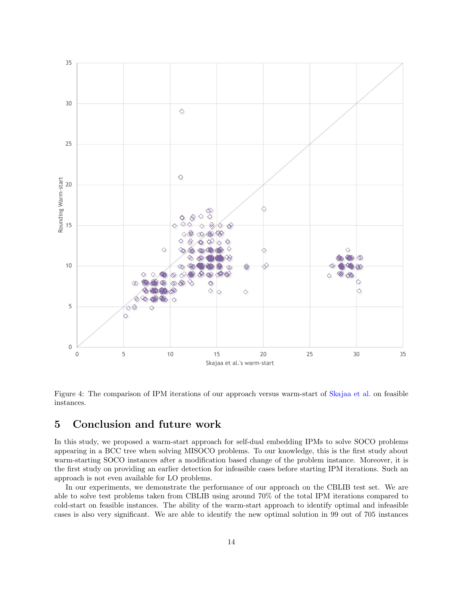

Figure 4: The comparison of IPM iterations of our approach versus warm-start of Skajaa et al. on feasible instances.

## 5 Conclusion and future work

In this study, we proposed a warm-start approach for self-dual embedding IPMs to solve SOCO problems appearing in a BCC tree when solving MISOCO problems. To our knowledge, this is the first study about warm-starting SOCO instances after a modification based change of the problem instance. Moreover, it is the first study on providing an earlier detection for infeasible cases before starting IPM iterations. Such an approach is not even available for LO problems.

In our experiments, we demonstrate the performance of our approach on the CBLIB test set. We are able to solve test problems taken from CBLIB using around 70% of the total IPM iterations compared to cold-start on feasible instances. The ability of the warm-start approach to identify optimal and infeasible cases is also very significant. We are able to identify the new optimal solution in 99 out of 705 instances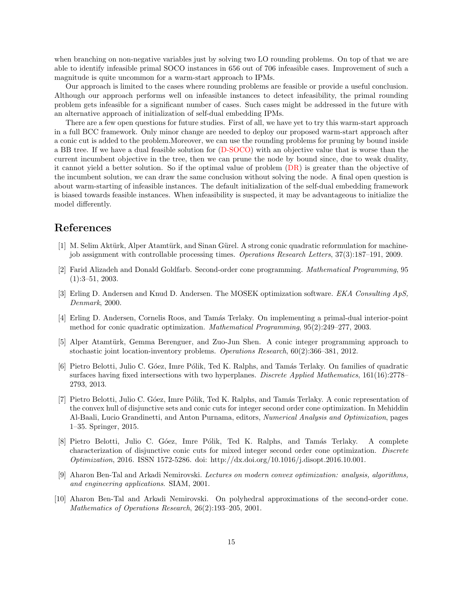when branching on non-negative variables just by solving two LO rounding problems. On top of that we are able to identify infeasible primal SOCO instances in 656 out of 706 infeasible cases. Improvement of such a magnitude is quite uncommon for a warm-start approach to IPMs.

Our approach is limited to the cases where rounding problems are feasible or provide a useful conclusion. Although our approach performs well on infeasible instances to detect infeasibility, the primal rounding problem gets infeasible for a significant number of cases. Such cases might be addressed in the future with an alternative approach of initialization of self-dual embedding IPMs.

There are a few open questions for future studies. First of all, we have yet to try this warm-start approach in a full BCC framework. Only minor change are needed to deploy our proposed warm-start approach after a conic cut is added to the problem.Moreover, we can use the rounding problems for pruning by bound inside a BB tree. If we have a dual feasible solution for (D-SOCO) with an objective value that is worse than the current incumbent objective in the tree, then we can prune the node by bound since, due to weak duality, it cannot yield a better solution. So if the optimal value of problem  $(DR)$  is greater than the objective of the incumbent solution, we can draw the same conclusion without solving the node. A final open question is about warm-starting of infeasible instances. The default initialization of the self-dual embedding framework is biased towards feasible instances. When infeasibility is suspected, it may be advantageous to initialize the model differently.

## References

- [1] M. Selim Aktürk, Alper Atamtürk, and Sinan Gürel. A strong conic quadratic reformulation for machinejob assignment with controllable processing times. Operations Research Letters, 37(3):187–191, 2009.
- [2] Farid Alizadeh and Donald Goldfarb. Second-order cone programming. Mathematical Programming, 95 (1):3–51, 2003.
- [3] Erling D. Andersen and Knud D. Andersen. The MOSEK optimization software. EKA Consulting ApS, Denmark, 2000.
- [4] Erling D. Andersen, Cornelis Roos, and Tamás Terlaky. On implementing a primal-dual interior-point method for conic quadratic optimization. Mathematical Programming, 95(2):249–277, 2003.
- [5] Alper Atamtürk, Gemma Berenguer, and Zuo-Jun Shen. A conic integer programming approach to stochastic joint location-inventory problems. Operations Research, 60(2):366–381, 2012.
- [6] Pietro Belotti, Julio C. Góez, Imre Pólik, Ted K. Ralphs, and Tamás Terlaky. On families of quadratic surfaces having fixed intersections with two hyperplanes. Discrete Applied Mathematics, 161(16):2778– 2793, 2013.
- [7] Pietro Belotti, Julio C. Góez, Imre Pólik, Ted K. Ralphs, and Tamás Terlaky. A conic representation of the convex hull of disjunctive sets and conic cuts for integer second order cone optimization. In Mehiddin Al-Baali, Lucio Grandinetti, and Anton Purnama, editors, Numerical Analysis and Optimization, pages 1–35. Springer, 2015.
- [8] Pietro Belotti, Julio C. Góez, Imre Pólik, Ted K. Ralphs, and Tamás Terlaky. A complete characterization of disjunctive conic cuts for mixed integer second order cone optimization. Discrete Optimization, 2016. ISSN 1572-5286. doi: http://dx.doi.org/10.1016/j.disopt.2016.10.001.
- [9] Aharon Ben-Tal and Arkadi Nemirovski. Lectures on modern convex optimization: analysis, algorithms, and engineering applications. SIAM, 2001.
- [10] Aharon Ben-Tal and Arkadi Nemirovski. On polyhedral approximations of the second-order cone. Mathematics of Operations Research, 26(2):193–205, 2001.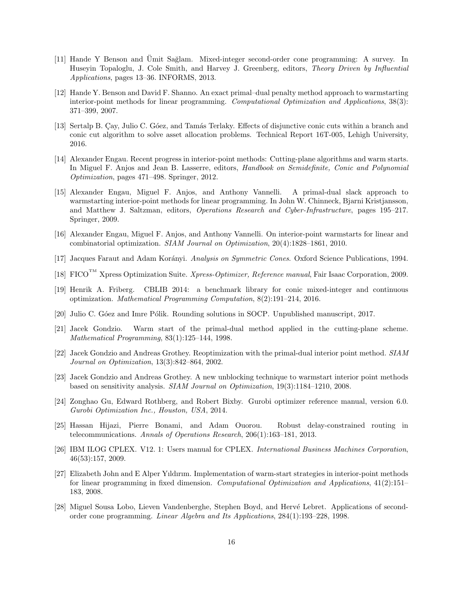- [11] Hande Y Benson and Umit Sağlam. Mixed-integer second-order cone programming: A survey. In Huseyin Topaloglu, J. Cole Smith, and Harvey J. Greenberg, editors, Theory Driven by Influential Applications, pages 13–36. INFORMS, 2013.
- [12] Hande Y. Benson and David F. Shanno. An exact primal–dual penalty method approach to warmstarting interior-point methods for linear programming. Computational Optimization and Applications, 38(3): 371–399, 2007.
- [13] Sertalp B. Cay, Julio C. Góez, and Tamás Terlaky. Effects of disjunctive conic cuts within a branch and conic cut algorithm to solve asset allocation problems. Technical Report 16T-005, Lehigh University, 2016.
- [14] Alexander Engau. Recent progress in interior-point methods: Cutting-plane algorithms and warm starts. In Miguel F. Anjos and Jean B. Lasserre, editors, *Handbook on Semidefinite, Conic and Polynomial* Optimization, pages 471–498. Springer, 2012.
- [15] Alexander Engau, Miguel F. Anjos, and Anthony Vannelli. A primal-dual slack approach to warmstarting interior-point methods for linear programming. In John W. Chinneck, Bjarni Kristjansson, and Matthew J. Saltzman, editors, Operations Research and Cyber-Infrastructure, pages 195–217. Springer, 2009.
- [16] Alexander Engau, Miguel F. Anjos, and Anthony Vannelli. On interior-point warmstarts for linear and combinatorial optimization. SIAM Journal on Optimization, 20(4):1828–1861, 2010.
- [17] Jacques Faraut and Adam Korányi. Analysis on Symmetric Cones. Oxford Science Publications, 1994.
- [18] FICO<sup>TM</sup> Xpress Optimization Suite. *Xpress-Optimizer*, Reference manual, Fair Isaac Corporation, 2009.
- [19] Henrik A. Friberg. CBLIB 2014: a benchmark library for conic mixed-integer and continuous optimization. Mathematical Programming Computation, 8(2):191–214, 2016.
- [20] Julio C. Góez and Imre Pólik. Rounding solutions in SOCP. Unpublished manuscript, 2017.
- [21] Jacek Gondzio. Warm start of the primal-dual method applied in the cutting-plane scheme. Mathematical Programming, 83(1):125–144, 1998.
- [22] Jacek Gondzio and Andreas Grothey. Reoptimization with the primal-dual interior point method. SIAM Journal on Optimization, 13(3):842–864, 2002.
- [23] Jacek Gondzio and Andreas Grothey. A new unblocking technique to warmstart interior point methods based on sensitivity analysis. SIAM Journal on Optimization, 19(3):1184–1210, 2008.
- [24] Zonghao Gu, Edward Rothberg, and Robert Bixby. Gurobi optimizer reference manual, version 6.0. Gurobi Optimization Inc., Houston, USA, 2014.
- [25] Hassan Hijazi, Pierre Bonami, and Adam Ouorou. Robust delay-constrained routing in telecommunications. Annals of Operations Research, 206(1):163–181, 2013.
- [26] IBM ILOG CPLEX. V12. 1: Users manual for CPLEX. International Business Machines Corporation, 46(53):157, 2009.
- [27] Elizabeth John and E Alper Yıldırım. Implementation of warm-start strategies in interior-point methods for linear programming in fixed dimension. Computational Optimization and Applications, 41(2):151-183, 2008.
- [28] Miguel Sousa Lobo, Lieven Vandenberghe, Stephen Boyd, and Hervé Lebret. Applications of secondorder cone programming. Linear Algebra and Its Applications, 284(1):193–228, 1998.